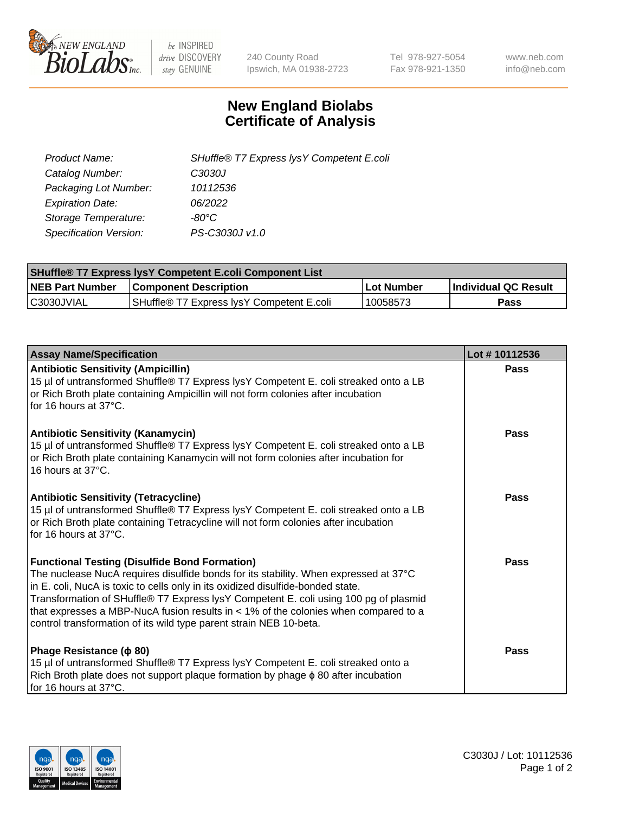

 $be$  INSPIRED drive DISCOVERY stay GENUINE

240 County Road Ipswich, MA 01938-2723 Tel 978-927-5054 Fax 978-921-1350 www.neb.com info@neb.com

## **New England Biolabs Certificate of Analysis**

| Product Name:                 | SHuffle® T7 Express lysY Competent E.coli |
|-------------------------------|-------------------------------------------|
| Catalog Number:               | C3030J                                    |
| Packaging Lot Number:         | 10112536                                  |
| <b>Expiration Date:</b>       | 06/2022                                   |
| Storage Temperature:          | $-80^{\circ}$ C                           |
| <b>Specification Version:</b> | PS-C3030J v1.0                            |

| <b>SHuffle® T7 Express lysY Competent E.coli Component List</b> |                                           |                   |                      |  |
|-----------------------------------------------------------------|-------------------------------------------|-------------------|----------------------|--|
| <b>NEB Part Number</b>                                          | Component Description                     | <b>Lot Number</b> | Individual QC Result |  |
| C3030JVIAL                                                      | SHuffle® T7 Express lysY Competent E.coli | 10058573          | Pass                 |  |

| <b>Assay Name/Specification</b>                                                                                                                                                                                                                                                                                                                                                                                                                                                        | Lot #10112536 |
|----------------------------------------------------------------------------------------------------------------------------------------------------------------------------------------------------------------------------------------------------------------------------------------------------------------------------------------------------------------------------------------------------------------------------------------------------------------------------------------|---------------|
| <b>Antibiotic Sensitivity (Ampicillin)</b><br>15 µl of untransformed Shuffle® T7 Express lysY Competent E. coli streaked onto a LB<br>or Rich Broth plate containing Ampicillin will not form colonies after incubation<br>for 16 hours at 37°C.                                                                                                                                                                                                                                       | Pass          |
| <b>Antibiotic Sensitivity (Kanamycin)</b><br>15 µl of untransformed Shuffle® T7 Express lysY Competent E. coli streaked onto a LB<br>or Rich Broth plate containing Kanamycin will not form colonies after incubation for<br>16 hours at 37°C.                                                                                                                                                                                                                                         | Pass          |
| <b>Antibiotic Sensitivity (Tetracycline)</b><br>15 µl of untransformed Shuffle® T7 Express lysY Competent E. coli streaked onto a LB<br>or Rich Broth plate containing Tetracycline will not form colonies after incubation<br>for 16 hours at $37^{\circ}$ C.                                                                                                                                                                                                                         | Pass          |
| <b>Functional Testing (Disulfide Bond Formation)</b><br>The nuclease NucA requires disulfide bonds for its stability. When expressed at 37°C<br>in E. coli, NucA is toxic to cells only in its oxidized disulfide-bonded state.<br>Transformation of SHuffle® T7 Express lysY Competent E. coli using 100 pg of plasmid<br>that expresses a MBP-NucA fusion results in $<$ 1% of the colonies when compared to a<br>control transformation of its wild type parent strain NEB 10-beta. | Pass          |
| Phage Resistance ( $\phi$ 80)<br>15 µl of untransformed Shuffle® T7 Express lysY Competent E. coli streaked onto a<br>Rich Broth plate does not support plaque formation by phage $\phi$ 80 after incubation<br>for 16 hours at 37°C.                                                                                                                                                                                                                                                  | Pass          |